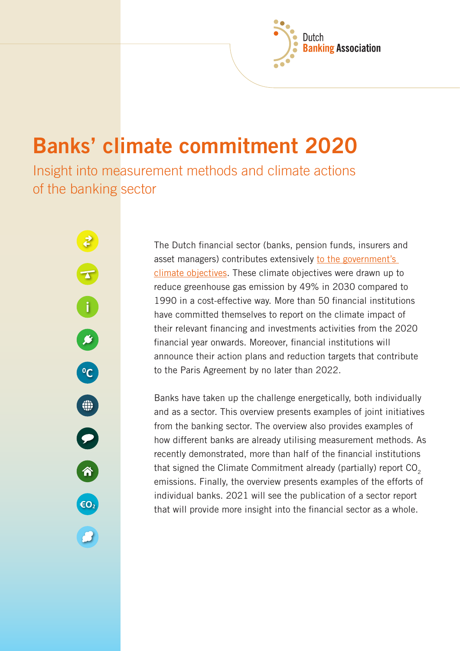# **Banks' climate commitment 2020**

Insight into measurement methods and climate actions of the banking sector

F<br>i

B

C

⊕

 $\bullet$ 

6

 $\epsilon$ O<sub>2</sub>

The Dutch financial sector (banks, pension funds, insurers and asset managers) contributes extensively [to the government's](https://www.nvb.nl/nieuws/vijftig-financi%c3%able-instellingen-tekenen-voor-klimaatdoelen/)  [climate objectives.](https://www.nvb.nl/nieuws/vijftig-financi%c3%able-instellingen-tekenen-voor-klimaatdoelen/) These climate objectives were drawn up to reduce greenhouse gas emission by 49% in 2030 compared to 1990 in a cost-effective way. More than 50 financial institutions have committed themselves to report on the climate impact of their relevant financing and investments activities from the 2020 financial year onwards. Moreover, financial institutions will announce their action plans and reduction targets that contribute to the Paris Agreement by no later than 2022.

Dutch

**Banking Association** 

Banks have taken up the challenge energetically, both individually and as a sector. This overview presents examples of joint initiatives from the banking sector. The overview also provides examples of how different banks are already utilising measurement methods. As recently demonstrated, more than half of the financial institutions that signed the Climate Commitment already (partially) report  $CO_2$ emissions. Finally, the overview presents examples of the efforts of individual banks. 2021 will see the publication of a sector report that will provide more insight into the financial sector as a whole.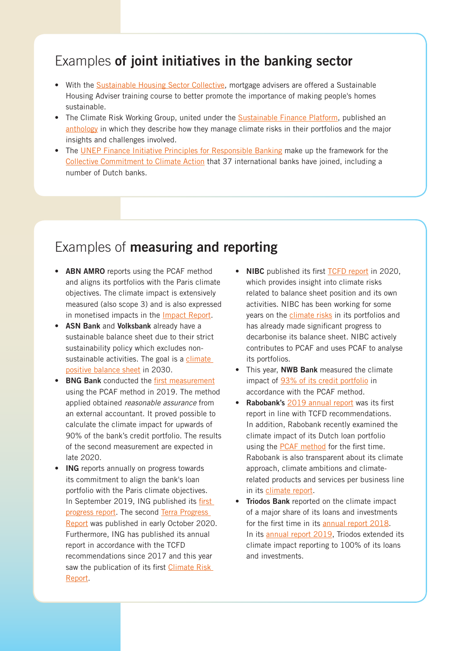## Examples **of joint initiatives in the banking sector**

- With the [Sustainable Housing Sector Collective,](https://www.adviseurduurzaamwonen.nl/home) mortgage advisers are offered a Sustainable Housing Adviser training course to better promote the importance of making people's homes sustainable.
- The Climate Risk Working Group, united under the **[Sustainable Finance Platform](https://www.dnb.nl/over-dnb/samenwerking/platform-voor-duurzame-financiering/index.jsp)**, published an [anthology](https://www.dnb.nl/binaries/Climate%20Risk%20Working%20Group_tcm46-389509.pdf) in which they describe how they manage climate risks in their portfolios and the major insights and challenges involved.
- The [UNEP Finance Initiative Principles for Responsible Banking](https://www.unepfi.org/banking/bankingprinciples/) make up the framework for the [Collective Commitment to Climate Action](https://www.unepfi.org/banking/bankingprinciples/collective-commitment/) that 37 international banks have joined, including a number of Dutch banks.

## Examples of **measuring and reporting**

- **ABN AMRO** reports using the PCAF method and aligns its portfolios with the Paris climate objectives. The climate impact is extensively measured (also scope 3) and is also expressed in monetised impacts in the [Impact Report.](https://www.abnamro.com/nl/images/Documents/010_Over_ABN_AMRO/Annual_Report/2019/ABN_AMRO_Impact_Report_2019.pdf)
- • **ASN Bank** and **Volksbank** already have a sustainable balance sheet due to their strict sustainability policy which excludes nonsustainable activities. The goal is a climate [positive balance sheet](https://www.asnbank.nl/over-asn-bank/duurzaamheid/klimaat/klimaatpositief-in-2030.html) in 2030.
- • **BNG Bank** conducted the [first measurement](https://www.bngbank.nl/Documents/Over%20BNG%20Bank/Jaarverslag%202019/BNG%20Bank%20Annual%20Report%202019.pdf#page=46) using the PCAF method in 2019. The method applied obtained *reasonable assurance* from an external accountant. It proved possible to calculate the climate impact for upwards of 90% of the bank's credit portfolio. The results of the second measurement are expected in late 2020.
- • **ING** reports annually on progress towards its commitment to align the bank's loan portfolio with the Paris climate objectives. In September 2019, ING published its first [progress report.](https://www.ing.com/Newsroom/News/Press-releases/ING-publishes-first-Terra-progress-report.htm) The second [Terra Progress](https://www.ing.com/Newsroom/News/Press-releases/ING-publishes-second-progress-report-on-climate-alignment.htm)  [Report](https://www.ing.com/Newsroom/News/Press-releases/ING-publishes-second-progress-report-on-climate-alignment.htm) was published in early October 2020. Furthermore, ING has published its annual report in accordance with the TCFD recommendations since 2017 and this year saw the publication of its first Climate Risk [Report.](https://www.ing.com/Newsroom/News/Climate-change-is-risky-business.htm)
- **NIBC** published its first [TCFD report](https://www.nibc.com/media/2746/nibc-tcfd-report.pdf) in 2020, which provides insight into climate risks related to balance sheet position and its own activities. NIBC has been working for some years on the [climate risks](https://www.nibc.com/media/2483/annual-report-nibc-holding-nv-2019.pdf#page=60) in its portfolios and has already made significant progress to decarbonise its balance sheet. NIBC actively contributes to PCAF and uses PCAF to analyse its portfolios.
- This year, **NWB Bank** measured the climate impact of [93% of its credit portfolio](https://nwbbank.com/nieuws/nwb-bank-heeft-klimaatimpact-kredietportefeuille-bijna-volledig-beeld) in accordance with the PCAF method.
- • **Rabobank's** [2019 annual report](https://www.rabobank.com/en/images/annual-report-2019.pdf#page=23) was its first report in line with TCFD recommendations. In addition, Rabobank recently examined the climate impact of its Dutch loan portfolio using the [PCAF method](https://www.rabobank.com/nl/images/rcc-11-ver12.pdf#page=14) for the first time. Rabobank is also transparent about its climate approach, climate ambitions and climaterelated products and services per business line in its [climate report.](https://www.rabobank.com/nl/about-rabobank/in-society/sustainability/articles/2020/our-climate-commitment-and-approach.html)
- **Triodos Bank** reported on the climate impact of a major share of its loans and investments for the first time in its [annual report 2018](https://annual-report-triodos.com/2018/executive-board-report/impact-and-financial-results/the-impact-of-our-finance.html). In its [annual report 2019,](https://annual-report-triodos.com/2019/executive-board-report/impact-and-financial-results/the-impact-of-our-finance/climate-impact-of-our-loans-and-investments.html) Triodos extended its climate impact reporting to 100% of its loans and investments.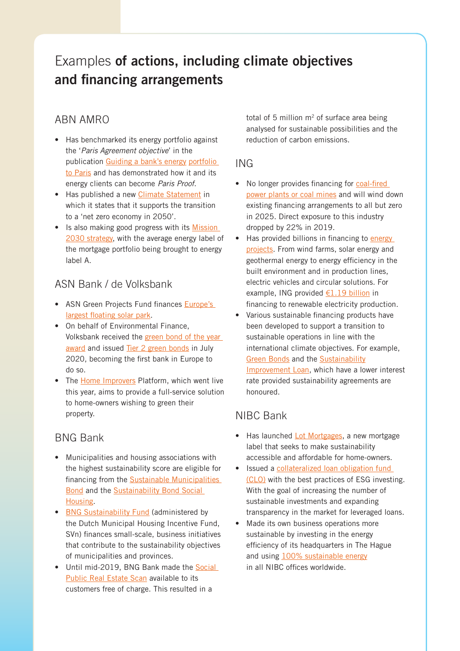# Examples **of actions, including climate objectives and financing arrangements**

#### ABN AMRO

- Has benchmarked its energy portfolio against the '*Paris Agreement objective*' in the publication [Guiding a bank's energy](https://www.abnamro.com/nl/images/Documents/040_Duurzaamheid/080_Reporting/2020/ABN_AMRO_Guiding_Energy_Portfolio_to_Paris_2020.pdf) portfolio [to Paris](https://www.abnamro.com/nl/images/Documents/040_Duurzaamheid/080_Reporting/2020/ABN_AMRO_Guiding_Energy_Portfolio_to_Paris_2020.pdf) and has demonstrated how it and its energy clients can become *Paris Proof*.
- Has published a new [Climate Statement](https://www.abnamro.com/nl/images/Documents/040_Duurzaamheid/070_Sustainability_policy/ABN_AMRO_Climate_Statement.pdf) in which it states that it supports the transition to a 'net zero economy in 2050'.
- Is also making good progress with its Mission [2030 strategy,](https://www.abnamro.com/en/images/Documents/010_About_ABN_AMRO/Annual_Report/2019/ABN_AMRO_Integrated_Annual_Review_2019.pdf#page=36) with the average energy label of the mortgage portfolio being brought to energy label A.

#### ASN Bank / de Volksbank

- ASN Green Projects Fund finances Europe's [largest floating solar park.](https://www.asnbank.nl/nieuws-pers/asn-groenprojectenfonds-financiert-grootste-drijvende-zonnepark-van-europa.html)
- On behalf of Environmental Finance, Volksbank received the [green bond of the year](https://www.environmental-finance.com/content/awards/green-social-and-sustainability-bond-awards-2020/winners/green-bond-of-the-year-bank-de-volksbank.html)  [award](https://www.environmental-finance.com/content/awards/green-social-and-sustainability-bond-awards-2020/winners/green-bond-of-the-year-bank-de-volksbank.html) and issued [Tier 2 green bonds](https://www.devolksbank.nl/pers/de-volksbank-geeft-als-eerste-bank-in-europa-met-succes-achtergestelde-groene-tier-2-obligaties-uit) in July 2020, becoming the first bank in Europe to do so.
- The [Home Improvers](https://www.woningverbeteraars.nl) Platform, which went live this year, aims to provide a full-service solution to home-owners wishing to green their property.

#### BNG Bank

- Municipalities and housing associations with the highest sustainability score are eligible for financing from the [Sustainable Municipalities](https://www.bngbank.com/funding/sustainability-bond)  [Bond](https://www.bngbank.com/funding/sustainability-bond) and the [Sustainability Bond Social](https://www.bngbank.com/funding/sustainability-bond-social-housing)  [Housing.](https://www.bngbank.com/funding/sustainability-bond-social-housing)
- [BNG Sustainability Fund](https://www.bngduurzaamheidsfonds.nl) (administered by the Dutch Municipal Housing Incentive Fund, SVn) finances small-scale, business initiatives that contribute to the sustainability objectives of municipalities and provinces.
- Until mid-2019, BNG Bank made the Social [Public Real Estate Scan](https://www.bngbank.nl/financiering/maatschappelijk-vastgoed-scan) available to its customers free of charge. This resulted in a

total of 5 million  $m<sup>2</sup>$  of surface area being analysed for sustainable possibilities and the reduction of carbon emissions.

#### ING

- No longer provides financing for coal-fired [power plants or coal mines](https://www.ing.com/Newsroom/News/ING-further-sharpens-coal-policy-to-support-transition-to-low-carbon-economy.htm) and will wind down existing financing arrangements to all but zero in 2025. Direct exposure to this industry dropped by 22% in 2019.
- Has provided billions in financing to energy [projects](https://www.ing.com/Sustainability/Our-Stance/Energy.htm). From wind farms, solar energy and geothermal energy to energy efficiency in the built environment and in production lines, electric vehicles and circular solutions. For example, ING provided  $E1.19$  billion in financing to renewable electricity production.
- Various sustainable financing products have been developed to support a transition to sustainable operations in line with the international climate objectives. For example, **[Green Bonds](https://www.ing.com/Sustainability/Sustainable-business/ING-Green-Bond.htm) and the [Sustainability](https://new.ingwb.com/en/sustainable-finance/sustainability-improvement-loans)** [Improvement Loan](https://new.ingwb.com/en/sustainable-finance/sustainability-improvement-loans), which have a lower interest rate provided sustainability agreements are honoured.

#### NIBC Bank

- Has launched [Lot Mortgages](https://www.nibc.nl/over-nibc/nieuws/nieuws/nibc-expands-originate-to-manage-business-with-new-mortgage-label/), a new mortgage label that seeks to make sustainability accessible and affordable for home-owners.
- Issued a collateralized loan obligation fund [\(CLO\)](https://www.nibc.com/about-nibc/newsroom/newsroom/nibc-brings-the-first-clo-fully-compliant-with-esg-best-practices) with the best practices of ESG investing. With the goal of increasing the number of sustainable investments and expanding transparency in the market for leveraged loans.
- Made its own business operations more sustainable by investing in the energy efficiency of its headquarters in The Hague and using [100% sustainable energy](https://www.nibc.com/about-nibc/sustainability/) in all NIBC offices worldwide.